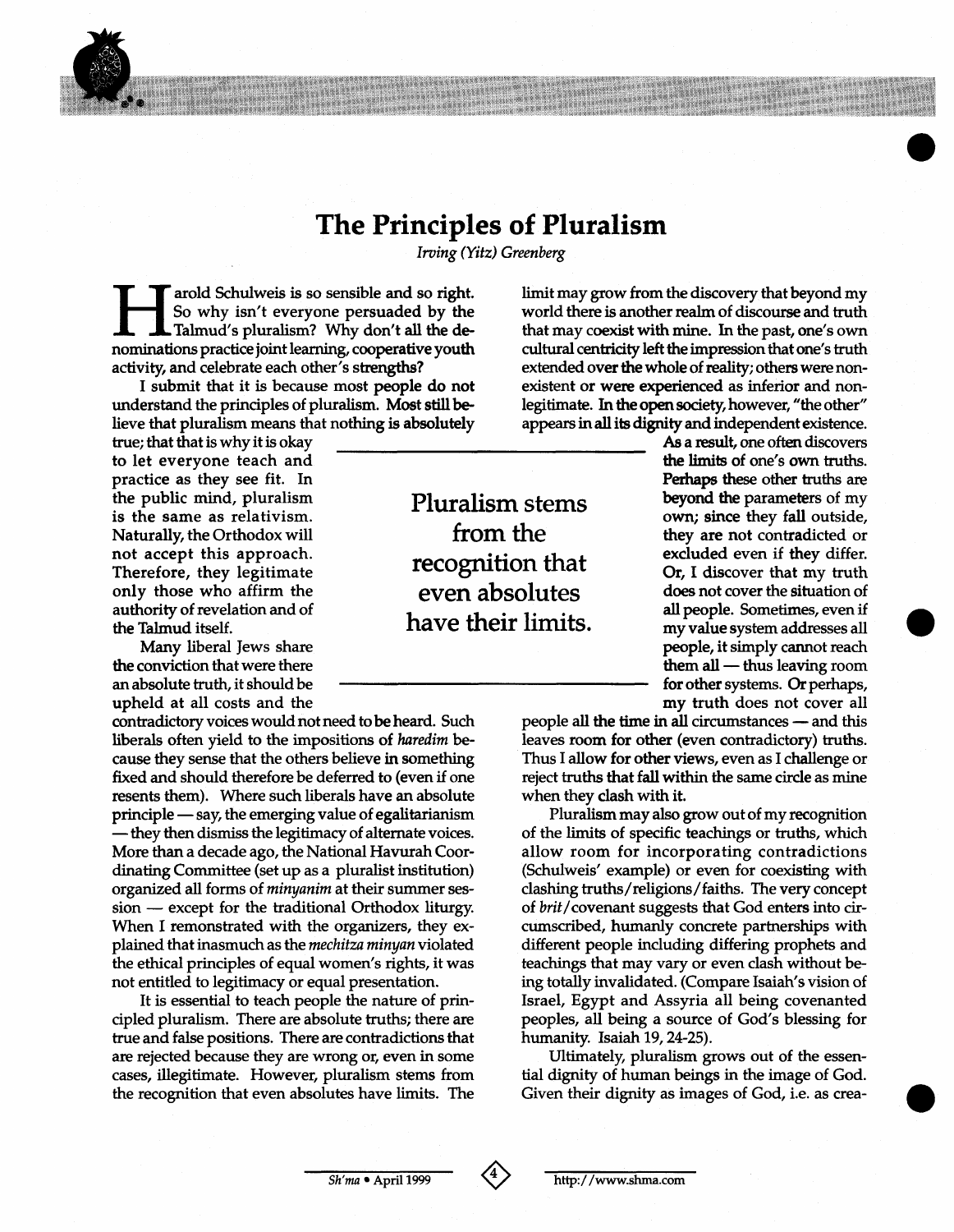## **The Principles of Pluralism**

**BMINING** 

**TANA AREA A** 

Irving *(Yitz)* Greenberg

**EXECUTE AND SCHULWEE SO SENSIBLE AND SO Why isn't everyone persuaded by the Talmud's pluralism? Why don't all the denominations practice ioint learning. cooperative youth** Talmud's pluralism? Why don't all the denominations practice joint learning, cooperative youth activity, and celebrate each other's **strengths?** 

I submit that it is because most people do not understand the principles of pluralism. Most **still** believe that pluralism means that nothing is absolutely

true; that that is why it is okay to let everyone teach and practice as they see fit. In the public mind, pluralism is the same as relativism. Naturally, the Orthodox will not accept this approach. Therefore, they legitimate only those who affirm the authority of revelation and of the Talmud itself.

Many liberal Jews share the conviction that were there **an** absolute truth, it should be upheld at all costs and the

contradictory voices would not need to be heard. Such liberals often yield to the impositions **of** haredim because they sense that the others believe in something fixed and should therefore be deferred to (even if one resents them). Where such liberals have an absolute fixed and should therefore be deferred to (even if one<br>resents them). Where such liberals have an absolute<br>principle — say, the emerging value of egalitarianism<br>than them dismine the latitime metally principle resents them). Where such liberals have an absolute<br>principle — say, the emerging value of egalitarianism<br>— they then dismiss the legitimacy of alternate voices.<br>Mary than a data data the Matinual Hannual Gase. **More** than a decade ago, the National Havurah Coordinating Committee (set up as a pluralist institution) organized all forms of minyanim at their summer ses $sion$  - except for the traditional Orthodox liturgy. When I remonstrated with the organizers, they explained that inasmuch as the mechitza minyan violated the ethical principles of equal women's rights, it was not entitled to legitimacy or equal presentation.

It is essential to teach people the nature of principled pluralism. There are absolute truths; there are true and false positions. There are contradictions that are rejected because they are wrong or, even in some cases, illegitimate. However, pluralism stems from the recognition that even absolutes have limits. The limit may grow from the discovery that beyond my world there is another **realm** of discourse and truth that may coexist with mine. In the past, one's own cultural centricity left the impression that one's truth extended over the whole of **reality;** others were nonexistent or were experienced as inferior and nonlegitimate. In the **open** society, however, "the other'' appears in **all** its **dignity** and independent existence.

As a result, one often discovers **the limits of** one's **own truths. Perhaps** these other truths *are*  from the they are not contradicted or<br>excluded even if they differ. beyond **the** parameters of my **own;** since they fall outside, Or, I discover that **mv** truth does not cover the situation of all people. Sometimes, even if my value system addresses all people, it simply cannot reach my value system addresses all<br> **people, it simply cannot reach**<br> **them all** — thus leaving room<br> **for ather systems** for other systems. *Or* perhaps, my truth does not cover all

> people all the time in all circumstances — and this leaves room for other (even contradictory) truths. Thus I allow for other views, even as I challenge or reject truths that fall within the same circle as mine when they clash with it.

> Pluralism may also grow out of my recognition of the limits of specific teachings or truths, which allow room for incorporating contradictions (Schulweis' example) or even for coexisting with clashing truths/religions/faiths. The very concept of brit/covenant suggests that God enters into circumscribed, humanly concrete partnerships with different people including differing prophets and teachings that may vary or even clash without be**ing** totally invalidated. (Compare Isaiah's vision of Israel, Egypt and Assyria all being covenanted peoples, all being a source of God's blessing for humanity. Isaiah **19,24-25).**

> Ultimately, pluralism grows out of the essential dignity of human beings in the image of God. Given their dignity as images of God, i.e. as crea-

Pluralism stems recognition that even absolutes have their limits.